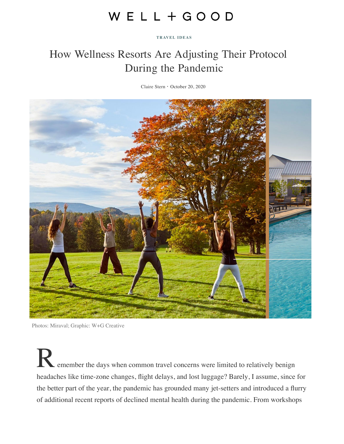# WELL+GOOD

#### **TRAVEL IDEAS**

## How Wellness Resorts Are Adjusting Their Protocol During the Pandemic

Claire Stern・October 20, 2020



Photos: Miraval; Graphic: W+G Creative

emember the days when common travel concerns were limited to relatively benign headaches like time-zone changes, flight delays, and lost luggage? Barely, I assume, since for the better part of the year, the pandemic has grounded many jet-setters and introduced a flurry of additional recent reports of declined mental health during the pandemic. From workshops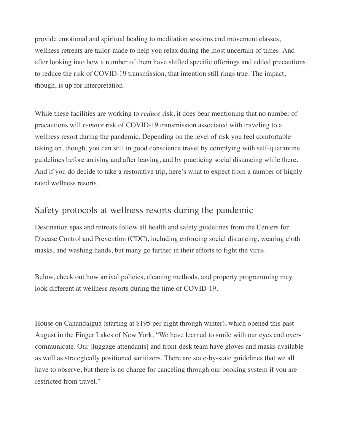provide emotional and spiritual healing to meditation sessions and movement classes, wellness retreats are tailor-made to help you relax during the most uncertain of times. And after looking into how a number of them have shifted specific offerings and added precautions to reduce the risk of COVID-19 transmission, that intention still rings true. The impact, though, is up for interpretation.

While these facilities are working to *reduce* risk, it does bear mentioning that no number of precautions will *remove* risk of COVID-19 transmission associated with traveling to a wellness resort during the pandemic. Depending on the level of risk you feel comfortable taking on, though, you can still in good conscience travel by complying with self-quarantine guidelines before arriving and after leaving, and by practicing social distancing while there. And if you do decide to take a restorative trip, here's what to expect from a number of highly rated wellness resorts.

## Safety protocols at wellness resorts during the pandemic

Destination spas and retreats follow all health and safety guidelines from the Centers for Disease Control and Prevention (CDC), including enforcing social distancing, wearing cloth masks, and washing hands, but many go farther in their efforts to fight the virus.

Below, check out how arrival policies, cleaning methods, and property programming may look different at wellness resorts during the time of COVID-19.

House on Canandaigua (starting at \$195 per night through winter), which opened this past August in the Finger Lakes of [New York. "We have learned to smile with our eyes and o](https://www.cdc.gov/coronavirus/2019-ncov/prevent-getting-sick/index.html)vercommunicate. Our [luggage attendants] and front-desk team have gloves and masks available as well as strategically positioned sanitizers. There are state-by-state guidelines that we all have to observe, but there is no charge for canceling through our booking system if you are restricted from travel."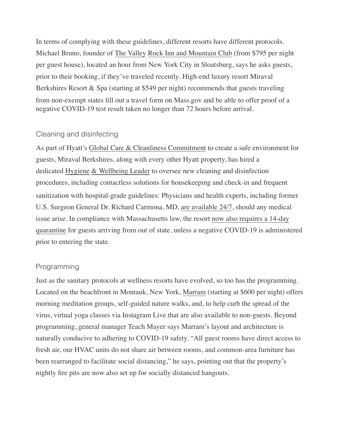from non-exempt states fill out a travel form on Mass.gov and be able to offer proof of a negative COVID-19 test result taken no longer than 72 hours before arrival. In terms of complying with these guidelines, different resorts have different protocols. Michael Bruno, founder of The Valley Rock Inn and Mountain Club (from \$795 per night per guest house), located an hour from New York City in Sloatsburg, says he asks guests, prior to their booking, if they've traveled recently. High-end luxury resort Miraval Berkshires Resort & Spa (starting at \$549 per night) recommends that guests traveling

## Cleaning and disinfecting

As part of Hyatt's [Global Car](https://www.hyatt.com/info/global-care-and-cleanliness-commitment)[e & Cleanlin](https://www.wellandgood.com/bubble-retreat/)[ess Commitment](https://www.hyatt.com/info/global-care-and-cleanliness-commitment) to [create a safe environment for](https://www.wellandgood.com/bubble-retreat/) guests, Miraval Berkshires, along with every other Hyatt property, has hired a dedicated Hygiene & Wellbeing Leader to oversee new cleaning and disinfection procedures, including contac[tless solutions](https://www.wellandgood.com/road-trip-safety/) fo[r housekeeping](https://www.wellandgood.com/road-trip-safety/) and check-in and frequent sanitization with hospital-grade guidelines: Physicians and health experts, including former U.S. Surgeon General Dr. Richard Carmona, MD, are available 24/7, should any medical issue arise. In compliance with Massachusetts law, the resort now also requires a 14-day quarantine for guests arriving from out of state, unless a [negative COVID-19 is administered](https://fave.co/3lgD4um) prior to entering the state.

## Programming

Just as the sanitary protocols at wellness resorts have evolved, so too has the programming. Located on the beachfront in [Montauk, New York, Marram \(starting at \\$600 per night\) offe](https://fave.co/3nrq72L)rs morning meditation groups, self-guided nature walks, and, to help curb the spread of the virus, virtual yoga classes via [Instagram Live that are also available to non-guests. Bey](https://www.mass.gov/forms/massachusetts-travel-form)ond programming, general manager Teach Mayer says Marram's layout and architecture is naturally conducive to adhering to COVID-19 safety. "All guest rooms have direct access to fresh air, our HVAC units do not share air between rooms, and common-area furniture has been rearranged to facilitate social distancing," he says, pointing out that the property's nightly fire pits are now also set up for socially distanced hangouts.